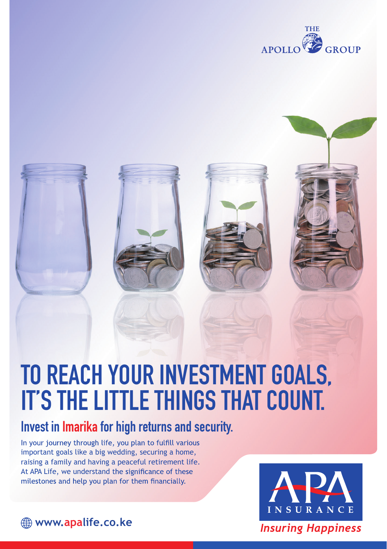

# **TO REACH YOUR INVESTMENT GOALS, IT'S THE LITTLE THINGS THAT COUNT.**

# **Invest in Imarika for high returns and security.**

In your journey through life, you plan to fulfill various important goals like a big wedding, securing a home, raising a family and having a peaceful retirement life. At APA Life, we understand the significance of these milestones and help you plan for them financially.

**www.apalife.co.ke**